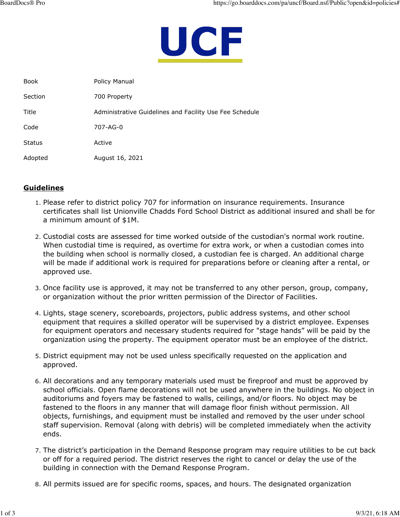

| <b>Book</b>   | Policy Manual                                           |
|---------------|---------------------------------------------------------|
| Section       | 700 Property                                            |
| Title         | Administrative Guidelines and Facility Use Fee Schedule |
| Code          | 707-AG-0                                                |
| <b>Status</b> | Active                                                  |
| Adopted       | August 16, 2021                                         |

## **Guidelines**

- 1. Please refer to district policy 707 for information on insurance requirements. Insurance certificates shall list Unionville Chadds Ford School District as additional insured and shall be for a minimum amount of \$1M.
- 2. Custodial costs are assessed for time worked outside of the custodian's normal work routine. When custodial time is required, as overtime for extra work, or when a custodian comes into the building when school is normally closed, a custodian fee is charged. An additional charge will be made if additional work is required for preparations before or cleaning after a rental, or approved use.
- 3. Once facility use is approved, it may not be transferred to any other person, group, company, or organization without the prior written permission of the Director of Facilities.
- 4. Lights, stage scenery, scoreboards, projectors, public address systems, and other school equipment that requires a skilled operator will be supervised by a district employee. Expenses for equipment operators and necessary students required for "stage hands" will be paid by the organization using the property. The equipment operator must be an employee of the district.
- 5. District equipment may not be used unless specifically requested on the application and approved.
- 6. All decorations and any temporary materials used must be fireproof and must be approved by school officials. Open flame decorations will not be used anywhere in the buildings. No object in auditoriums and foyers may be fastened to walls, ceilings, and/or floors. No object may be fastened to the floors in any manner that will damage floor finish without permission. All objects, furnishings, and equipment must be installed and removed by the user under school staff supervision. Removal (along with debris) will be completed immediately when the activity ends.
- 7. The district's participation in the Demand Response program may require utilities to be cut back or off for a required period. The district reserves the right to cancel or delay the use of the building in connection with the Demand Response Program.
- 8. All permits issued are for specific rooms, spaces, and hours. The designated organization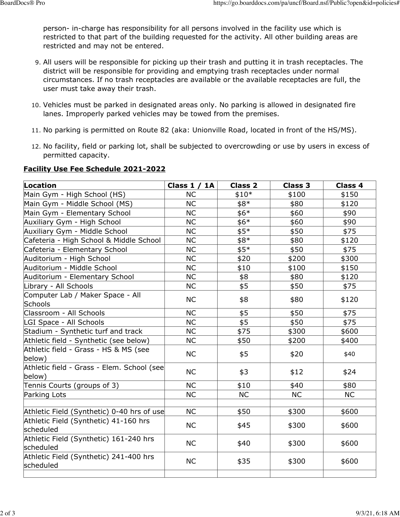person- in-charge has responsibility for all persons involved in the facility use which is restricted to that part of the building requested for the activity. All other building areas are restricted and may not be entered.

- 9. All users will be responsible for picking up their trash and putting it in trash receptacles. The district will be responsible for providing and emptying trash receptacles under normal circumstances. If no trash receptacles are available or the available receptacles are full, the user must take away their trash.
- 10. Vehicles must be parked in designated areas only. No parking is allowed in designated fire lanes. Improperly parked vehicles may be towed from the premises.
- 11. No parking is permitted on Route 82 (aka: Unionville Road, located in front of the HS/MS).
- 12. No facility, field or parking lot, shall be subjected to overcrowding or use by users in excess of permitted capacity.

| Location                                             | Class $1 / 1A$ | <b>Class 2</b> | <b>Class 3</b> | Class 4   |
|------------------------------------------------------|----------------|----------------|----------------|-----------|
| Main Gym - High School (HS)                          | <b>NC</b>      | $$10*$         | \$100          | \$150     |
| Main Gym - Middle School (MS)                        | <b>NC</b>      | \$8*           | \$80           | \$120     |
| Main Gym - Elementary School                         | <b>NC</b>      | $$6*$          | \$60           | \$90      |
| Auxiliary Gym - High School                          | <b>NC</b>      | $$6*$          | \$60           | \$90      |
| Auxiliary Gym - Middle School                        | NC             | $$5*$          | \$50           | \$75      |
| Cafeteria - High School & Middle School              | <b>NC</b>      | \$8*           | \$80           | \$120     |
| Cafeteria - Elementary School                        | <b>NC</b>      | $$5*$          | \$50           | \$75      |
| Auditorium - High School                             | NC             | \$20           | \$200          | \$300     |
| Auditorium - Middle School                           | <b>NC</b>      | \$10           | \$100          | \$150     |
| Auditorium - Elementary School                       | <b>NC</b>      | \$8            | \$80           | \$120     |
| Library - All Schools                                | <b>NC</b>      | \$5            | \$50           | \$75      |
| Computer Lab / Maker Space - All<br>Schools          | <b>NC</b>      | \$8            | \$80           | \$120     |
| Classroom - All Schools                              | <b>NC</b>      | \$5            | \$50           | \$75      |
| LGI Space - All Schools                              | <b>NC</b>      | \$5            | \$50           | \$75      |
| Stadium - Synthetic turf and track                   | <b>NC</b>      | \$75           | \$300          | \$600     |
| Athletic field - Synthetic (see below)               | NC             | \$50           | \$200          | \$400     |
| Athletic field - Grass - HS & MS (see<br>below)      | <b>NC</b>      | \$5            | \$20           | \$40      |
| Athletic field - Grass - Elem. School (see<br>below) | <b>NC</b>      | \$3            | \$12           | \$24      |
| Tennis Courts (groups of 3)                          | <b>NC</b>      | \$10           | \$40           | \$80      |
| Parking Lots                                         | <b>NC</b>      | <b>NC</b>      | <b>NC</b>      | <b>NC</b> |
|                                                      |                |                |                |           |
| Athletic Field (Synthetic) 0-40 hrs of use           | <b>NC</b>      | \$50           | \$300          | \$600     |
| Athletic Field (Synthetic) 41-160 hrs<br>scheduled   | <b>NC</b>      | \$45           | \$300          | \$600     |
| Athletic Field (Synthetic) 161-240 hrs<br>scheduled  | <b>NC</b>      | \$40           | \$300          | \$600     |
| Athletic Field (Synthetic) 241-400 hrs<br>scheduled  | <b>NC</b>      | \$35           | \$300          | \$600     |
|                                                      |                |                |                |           |

## **Facility Use Fee Schedule 2021-2022**